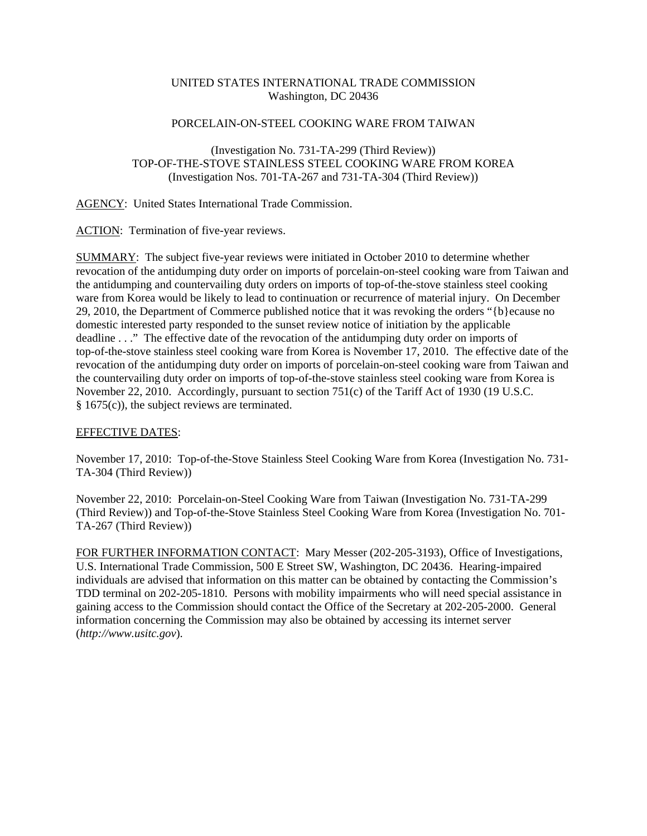## UNITED STATES INTERNATIONAL TRADE COMMISSION Washington, DC 20436

## PORCELAIN-ON-STEEL COOKING WARE FROM TAIWAN

## (Investigation No. 731-TA-299 (Third Review)) TOP-OF-THE-STOVE STAINLESS STEEL COOKING WARE FROM KOREA (Investigation Nos. 701-TA-267 and 731-TA-304 (Third Review))

AGENCY: United States International Trade Commission.

ACTION: Termination of five-year reviews.

SUMMARY: The subject five-year reviews were initiated in October 2010 to determine whether revocation of the antidumping duty order on imports of porcelain-on-steel cooking ware from Taiwan and the antidumping and countervailing duty orders on imports of top-of-the-stove stainless steel cooking ware from Korea would be likely to lead to continuation or recurrence of material injury. On December 29, 2010, the Department of Commerce published notice that it was revoking the orders "{b}ecause no domestic interested party responded to the sunset review notice of initiation by the applicable deadline . . ." The effective date of the revocation of the antidumping duty order on imports of top-of-the-stove stainless steel cooking ware from Korea is November 17, 2010. The effective date of the revocation of the antidumping duty order on imports of porcelain-on-steel cooking ware from Taiwan and the countervailing duty order on imports of top-of-the-stove stainless steel cooking ware from Korea is November 22, 2010. Accordingly, pursuant to section 751(c) of the Tariff Act of 1930 (19 U.S.C. § 1675(c)), the subject reviews are terminated.

## EFFECTIVE DATES:

November 17, 2010: Top-of-the-Stove Stainless Steel Cooking Ware from Korea (Investigation No. 731- TA-304 (Third Review))

November 22, 2010: Porcelain-on-Steel Cooking Ware from Taiwan (Investigation No. 731-TA-299 (Third Review)) and Top-of-the-Stove Stainless Steel Cooking Ware from Korea (Investigation No. 701- TA-267 (Third Review))

FOR FURTHER INFORMATION CONTACT: Mary Messer (202-205-3193), Office of Investigations, U.S. International Trade Commission, 500 E Street SW, Washington, DC 20436. Hearing-impaired individuals are advised that information on this matter can be obtained by contacting the Commission's TDD terminal on 202-205-1810. Persons with mobility impairments who will need special assistance in gaining access to the Commission should contact the Office of the Secretary at 202-205-2000. General information concerning the Commission may also be obtained by accessing its internet server (*http://www.usitc.gov*).